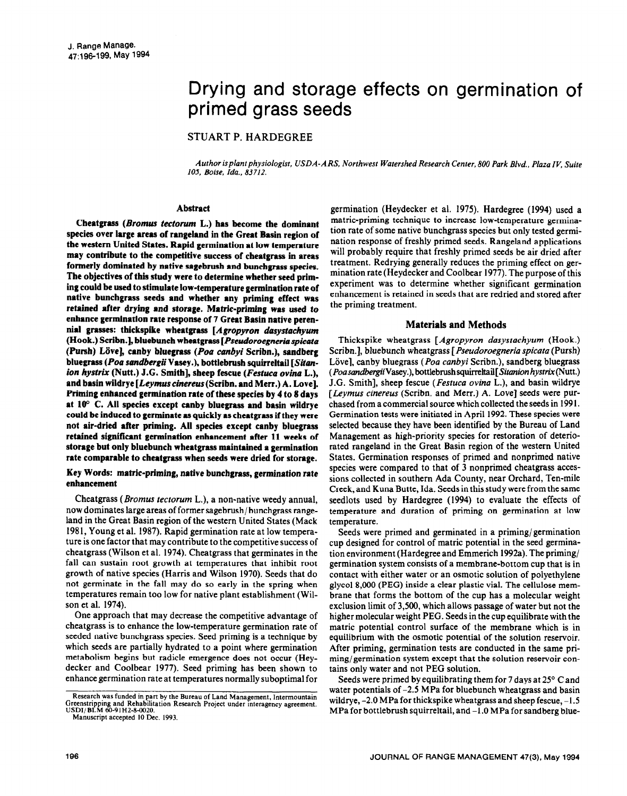# Drying and storage effects on germination of primed grass seeds

STUART P. HARDEGREE

*Author isplantphysiologist. USDA-ARS, Northwest Watershed Research Center, 800 Park Blvd., Plaza IV, Suite 105. Boise, Ida., 83712.* 

#### **Abstract**

**Cbeatgrass** *(Bromus tectorum* **L.) has become the dominant species over large areas of rangeland in the Great Basin region of the western United States. Rapid germination at low temperature may contribute to the competitive success of cheatgrass in areas formerly dominated by native sagebrush and bunchgrass species. The objectives of this study were to determine whether seed priming could be used to stimulate low-temperature germination rate of native bunchgrass seeds and whether any priming effect was retained after drying and storage. Matric-priming was used to enhance germination rate response of 7 Great Basin native perennial grasses: thickspike wheatgrass** *[Agropyron dasystachyum*  **(Hook.) Scribn.], bluebunch wheatgrass** *[Pstwdoroegneria spicata*  **(Pursh) Liive], canby bluegrass** *(Poa canbyi* **Scribn.), sandberg bluegrass** *(Poa sandbergii* **Vasey.), bottlebrush squirreltail [Sitan***ion hystrix* **(Nutt.) J.G. Smith], sheep fescue** *(Festuca ovina* **L.), and basin wildrye [Leymuscinereus(Scribn. and Merr.) A. Love]. Priming enhanced germination rate of these species by 4 to 8 days at 100 C. All species except canby bluegrass and basin wildrye could be induced to germinate as quickly as cheatgrass if they were not air-dried after priming. All species except canby bluegrass retained significant germination enhancement after 11 weeks of storage but only bluebunch whentgrass maintained a germination rate comparable to cheatgrass when seeds were dried for storage.** 

## **Key Words: matric-priming, native bunchgrass, germination rate enhancement**

Cheatgrass *(Bromus tectorum* L.), a non-native weedy annual, now dominates large areas of former sagebrush/ bunchgrass rangeland in the Great Basin region of the western United States (Mack 198 1, Young et al. 1987). Rapid germination rate at low temperature is one factor that may contribute to the competitive success of cheatgrass (Wilson et al. 1974). Cheatgrass that germinates in the fall can sustain root growth at temperatures that inhibit root growth of native species (Harris and Wilson 1970). Seeds that do not germinate in the fall may do so early in the spring when temperatures remain too low for native plant establishment (Wilson et al. 1974).

One approach that may decrease the competitive advantage of cheatgrass is to enhance the low-temperature germination rate of seeded native bunchgrass species. Seed priming is a technique by which seeds are partially hydrated to a point where germination metabolism begins but radicle emergence does not occur (Heydecker and Coolbear 1977). Seed priming has been shown to enhance germination rate at temperatures normally suboptimal for

germination (Heydecker et al. 1975). Hardegree (1994) used a matric-priming technique to increase low-temperature germination rate of some native bunchgrass species but only tested germination response of freshly primed seeds. Rangeland applications will probably require that freshly primed seeds be air dried after treatment. Redrying generally reduces the priming effect on **ger**mination rate (Heydecker and Coolbear 1977). The purpose of this experiment was to determine whether significant germination enhancement is retained in seeds that are redried and stored after the priming treatment.

## **Materials and Methods**

Thickspike wheatgrass *[Agropyron dasystochyum* (Hook.) Scribn.], bluebunch wheatgrass [ *Pseudoroegneria spicata* (Pursh) Löve], canby bluegrass (Poa canbyi Scribn.), sandberg bluegrass ( *PoasandhgiiVasey.),* bottlebrush squirreltail[ *Sitanion* hystrir (Nutt.) J.G. Smith], sheep fescue *(Festuca ovina* L.), and basin wildrye *[Leymus cinereus* (Scribn. and Merr.) A. Love] seeds were purchased from a commercial source which collected the seeds in 199 1. Germination tests were initiated in April 1992. These species were selected because they have been identified by the Bureau of Land Management as high-priority species for restoration of deteriorated rangeland in the Great Basin region of the western United States. Germination responses of primed and nonprimed native species were compared to that of 3 nonprimed cheatgrass accessions collected in southern Ada County, near Orchard, Ten-mile Creek, and Kuna Butte, Ida. Seeds in this study were from the same seedlots used by Hardegree (1994) to evaluate the effects of temperature and duration of priming on germination at low temperature.

Seeds were primed and germinated in a priming/germination cup designed for control of matric potential in the seed germination environment (Hardegree and Emmerich 1992a). The priming/ germination system consists of a membrane-bottom cup that is in contact with either water or an osmotic solution of polyethylene glycol 8,000 (PEG) inside a clear plastic vial. The cellulose membrane that forms the bottom of the cup has a molecular weight exclusion limit of 3,500, which allows passage of water but not the higher molecular weight PEG. Seeds in the cup equilibrate with the matric potential control surface of the membrane which is in equilibrium with the osmotic potential of the solution reservoir, After priming, germination tests are conducted in the same priming/germination system except that the solution reservoir contains only water and not PEG solution.

Seeds were primed by equilibrating them for 7 days at  $25^{\circ}$  C and water potentials of  $-2.5$  MPa for bluebunch wheatgrass and basin wildrye, -2.0 MPa for thickspike wheatgrass and sheep fescue, -1.5 MPa for bottlebrush squirreltail, and  $-1.0$  MPa for sandberg blue-

**Research was funded** in part by the Bureau of Land Management, Intermountain Greenstrippmg and Rehabilitation Research Project under interagency agreement. USDI/BLM 60-91H2-8-0020.

Manuscript accepted 10 Dec. 1993.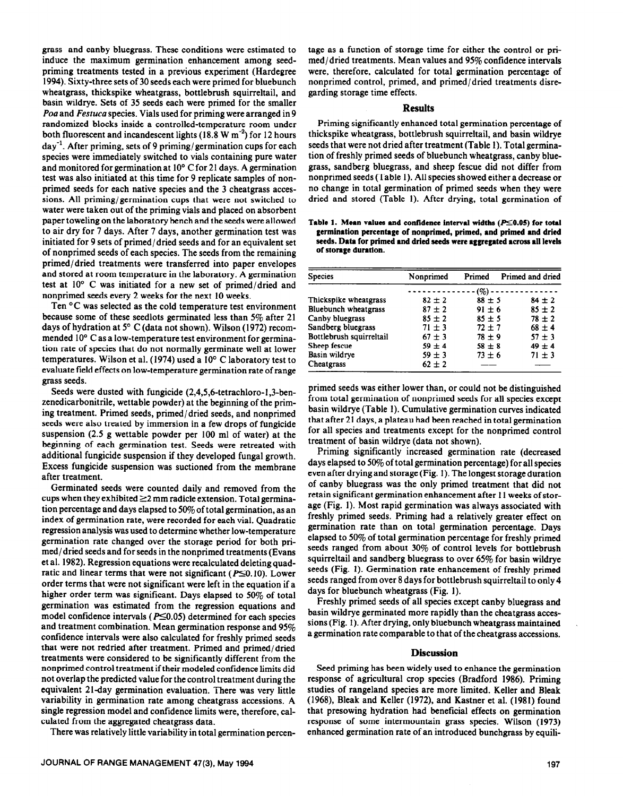primed seeds for each native species and the 3 cheatgrass accessions. All priming/germination cups that were not switched to water were taken out of the priming vials and placed on absorbent paper toweling on the laboratory bench and the seeds were allowed to air dry for 7 days. After 7 days, another germination test was initiated for 9 sets of primed/ dried seeds and for an equivalent set of nonprimed seeds of each species. The seeds from the remaining primed/dried treatments were transferred into paper envelopes and stored at room temperature in the laboratory. A germination test at 10° C was initiated for a new set of primed/dried and nonprimed seeds every 2 weeks for the next 10 weeks. Ten <sup>o</sup>C was selected as the cold temperature test environment because some of these seedlots germinated less than 5% after 21 days of hydration at 5° C (data not shown). Wilson (1972) recommended 10° C as a low-temperature test environment for germination rate of species that do not normally germinate well at lower temperatures. Wilson et al. (1974) used a 10' C laboratory test to evaluate field effects on low-temperature germination rate of range **grass** seeds. Seeds were dusted with fungicide (2,4,5,6-tetrachloro-1,3-benzenedicarbonitrile, wettable powder) at the beginning of the priming treatment. Primed seeds, primed/dried seeds, and nonprimed seeds were also treated by immersion in a few drops of fungicide

grass and canby bluegrass. These conditions were estimated to induce the maximum germination enhancement among seedpriming treatments tested in a previous experiment (Hardegree 1994). Sixty-three sets of 30 seeds each were primed for bluebunch wheatgrass, thickspike wheatgrass, bottlebrush squirreltail, and basin wildrye. Sets of 35 seeds each were primed for the smaller Poa and Festuca species. Vials used for priming were arranged in 9 randomized blocks inside a controlled-temperature room under both fluorescent and incandescent lights (18.8 W  $m^{-2}$ ) for 12 hours  $\frac{day^{-1}}{x}$ . After priming, sets of 9 priming/germination cups for each species were immediately switched to vials containing pure water and monitored for germination at 10' C for 21 days. A germination test was also initiated at this time for 9 replicate samples of non-

suspension (2.5 g wettable powder per 100 ml of water) at the beginning of each germination test. Seeds were retreated with additional fungicide suspension if they developed fungal growth. Excess fungicide suspension was suctioned from the membrane after treatment.

Germinated seeds were counted daily and removed from the cups when they exhibited  $\geq$ 2 mm radicle extension. Total germination percentage and days elapsed to 50% of total germination, as an index of germination rate, were recorded for each vial. Quadratic regression analysis was used to determine whether low-temperature germination rate changed over the storage period for both primed/ dried seeds and for seeds in the nonprimed treatments (Evans et al. 1982). Regression equations were recalculated deleting quadratic and linear terms that were not significant ( $P \le 0.10$ ). Lower order terms that were not significant were left in the equation if a higher order term was significant. Days elapsed to 50% of total germination was estimated from the regression equations and model confidence intervals ( $P \leq 0.05$ ) determined for each species and treatment combination. Mean germination response and 95% confidence intervals were also calculated for freshly primed seeds that were not redried after treatment. Primed and primed/dried treatments were considered to be significantly different from the nonprimed control treatment if their modeled confidence limits did not overlap the predicted value for the control treatment during the equivalent 21-day germination evaluation. There was very little variability in germination rate among cheatgrass accessions. A single regression model and confidence limits were, therefore, calculated from the aggregated cheatgrass data.

There was relatively little variability in total germination percen-

tage as a function of storage time for either the control or primed/dried treatments. Mean values and 95% confidence intervals were, therefore, calculated for total germination percentage of nonprimed control, primed, and primed/dried treatments disregarding storage time effects.

## **Results**

Priming significantly enhanced total germination percentage of thickspike wheatgrass, bottlebrush squirreltail, and basin wildrye seeds that were not dried after treatment (Table 1). Total germination of freshly primed seeds of bluebunch wheatgrass, canby bluegrass, sandberg bluegrass, and sheep fescue did not differ from nonprimed seeds (Table 1). All species showed either a decrease or no change in total germination of primed seeds when they were dried and stored (Table 1). After drying, total germination of

Table 1. Mean values and confidence interval widths  $(P \le 0.05)$  for total **germination percentage of nonprimed, primed, and primed and dried seeds. Data for primed and dried seeds were aggregated across all levels of storage duration.** 

| <b>Species</b>              | Nonprimed  | Primed     | Primed and dried |
|-----------------------------|------------|------------|------------------|
|                             |            | (%)        |                  |
| Thickspike wheatgrass       | $82 \pm 2$ | $88 \pm 5$ | $84 \pm 2$       |
| <b>Bluebunch</b> wheatgrass | $87 + 2$   | $91 + 6$   | $85 \pm 2$       |
| Canby bluegrass             | $85 \pm 2$ | $85 \pm 5$ | $78 \pm 2$       |
| Sandberg bluegrass          | $71 \pm 3$ | $72 + 7$   | $68 \pm 4$       |
| Bottlebrush squirreltail    | $67 \pm 3$ | $78 + 9$   | $57 \pm 3$       |
| Sheep fescue                | $59 \pm 4$ | $58 \pm 8$ | $49 \pm 4$       |
| Basin wildrve               | $59 \pm 3$ | $73 \pm 6$ | $71 \pm 3$       |
| Cheatgrass                  | $62 \pm 2$ |            |                  |

primed seeds was either lower than, or could not be- distinguished from total germination of nonprimed seeds for all species except basin wildrye (Table 1). Cumulative germination curves indicated that after 21 days, a plateau had been reached in total germination for all species and treatments except for the nonprimed control treatment of basin wildrye (data not shown).

Priming significantly increased germination rate (decreased days elapsed to 50% of total germination percentage) for all species even after drying and storage (Fig. 1). The longest storage duration of canby bluegrass was the only primed treatment that did not retain significant germination enhancement after 11 weeks of storage (Fig. 1). Most rapid germination was always associated with freshly primed seeds. Priming had a relatively greater effect on germination rate than on total germination percentage. Days elapsed to 50% of total germination percentage for freshly primed seeds ranged from about 30% of control levels for bottlebrush squirreltail and sandberg bluegrass to over 65% for basin wildrye seeds (Fig. 1). Germination rate enhancement of freshly primed seeds ranged from over 8 days for bottlebrush squirreltail to only 4 days for bluebunch wheatgrass (Fig. 1).

Freshly primed seeds of all species except canby bluegrass and basin wildrye germinated more rapidly than the cheatgrass accessions (Fig. 1). After drying, only bluebunch wheatgrass maintained a germination rate comparable to that of the cheatgrass accessions.

#### **Discussion**

Seed priming has been widely used to enhance the germination response of agricultural crop species (Bradford 1986). Priming studies of rangeland species are more limited. Keller and Bleak (1968), Bleak and Keller (1972), and Kastner et al. (1981) found that presowing hydration had beneficial effects on germination response of some intermountain grass species. Wilson (1973) enhanced germination rate of an introduced bunchgrass by equili-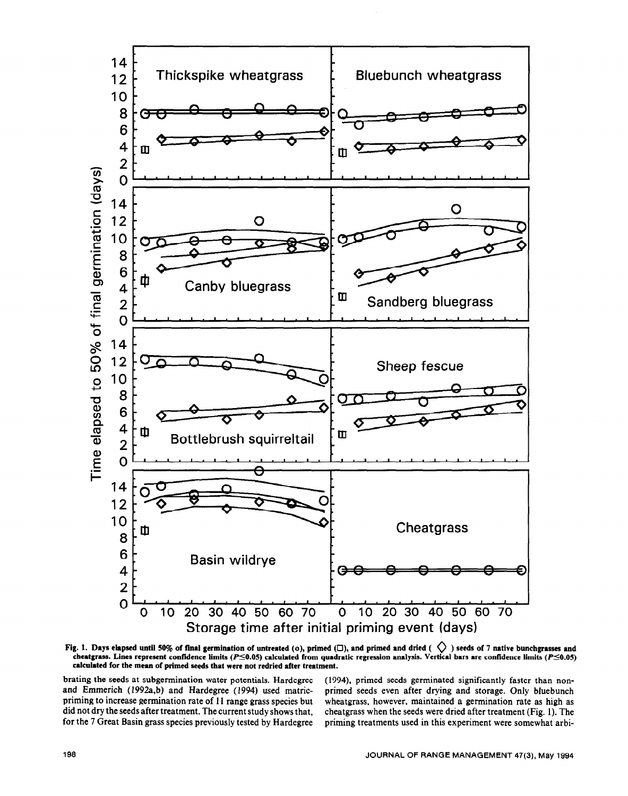

Fig. 1. Days elapsed until 50% of final germination of untreated (o), primed ( $\Box$ ), and primed and dried ( $\Diamond$ ) seeds of 7 native bunchgrasses and cheatgrass. Lines represent confidence limits ( $P \le 0.05$ ) calculated from quadratic regression analysis. Vertical bars are confidence limits ( $P \le 0.05$ ) **calculated for the mean of primed seeds that were not redried after treatment.** 

brating the seeds at subgermination water potentials. Hardegree (1994), primed seeds germinated significantly faster than non-<br>and Emmerich (1992a,b) and Hardegree (1994) used matric- primed seeds even after drying and sto and Emmerich (1992a,b) and Hardegree (1994) used matric- primed seeds even after drying and storage. Only bluebunch<br>priming to increase germination rate of 11 range grass species but wheatgrass, however, maintained a germi priming to increase germination rate of 11 range grass species but wheatgrass, however, maintained a germination rate as high as did not dry the seeds after treatment. The current study shows that, cheatgrass when the seed for the 7 Great Basin grass species previously tested by Hardegree priming treatments used in this experiment were somewhat arbi-

cheatgrass when the seeds were dried after treatment (Fig. 1). The